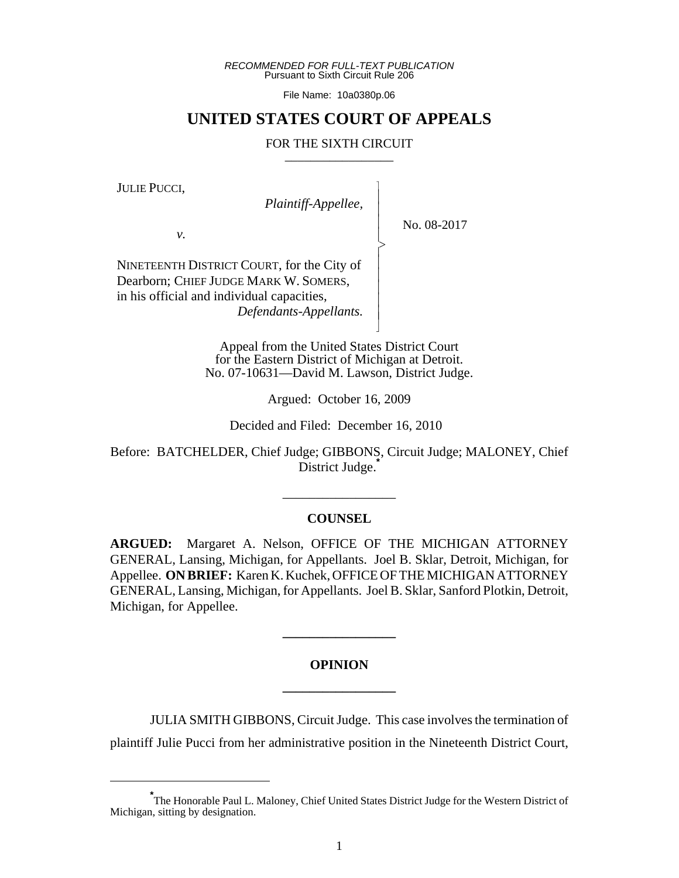*RECOMMENDED FOR FULL-TEXT PUBLICATION* Pursuant to Sixth Circuit Rule 206

File Name: 10a0380p.06

# **UNITED STATES COURT OF APPEALS**

#### FOR THE SIXTH CIRCUIT

 $\overline{\phantom{a}}$ - - - > , - - - - - N

JULIE PUCCI,

 *Plaintiff-Appellee,*

*v.*

No. 08-2017

NINETEENTH DISTRICT COURT, for the City of Dearborn; CHIEF JUDGE MARK W. SOMERS, in his official and individual capacities,  *Defendants-Appellants.*

> Appeal from the United States District Court for the Eastern District of Michigan at Detroit. No. 07-10631—David M. Lawson, District Judge.

> > Argued: October 16, 2009

Decided and Filed: December 16, 2010

Before: BATCHELDER, Chief Judge; GIBBONS, Circuit Judge; MALONEY, Chief District Judge.<sup>†</sup>

## **COUNSEL**

\_\_\_\_\_\_\_\_\_\_\_\_\_\_\_\_\_

**ARGUED:** Margaret A. Nelson, OFFICE OF THE MICHIGAN ATTORNEY GENERAL, Lansing, Michigan, for Appellants. Joel B. Sklar, Detroit, Michigan, for Appellee. **ON BRIEF:** Karen K. Kuchek, OFFICE OF THE MICHIGAN ATTORNEY GENERAL, Lansing, Michigan, for Appellants. Joel B. Sklar, Sanford Plotkin, Detroit, Michigan, for Appellee.

# **OPINION \_\_\_\_\_\_\_\_\_\_\_\_\_\_\_\_\_**

**\_\_\_\_\_\_\_\_\_\_\_\_\_\_\_\_\_**

JULIA SMITH GIBBONS, Circuit Judge. This case involves the termination of

plaintiff Julie Pucci from her administrative position in the Nineteenth District Court,

**<sup>\*</sup>** The Honorable Paul L. Maloney, Chief United States District Judge for the Western District of Michigan, sitting by designation.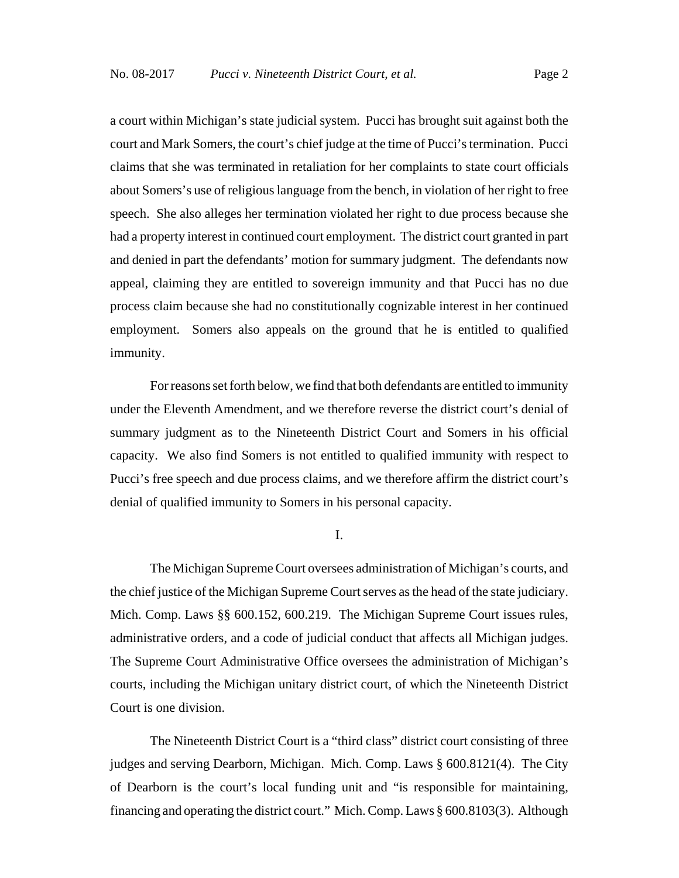a court within Michigan's state judicial system. Pucci has brought suit against both the court and Mark Somers, the court's chief judge at the time of Pucci's termination. Pucci claims that she was terminated in retaliation for her complaints to state court officials about Somers's use of religious language from the bench, in violation of her right to free speech. She also alleges her termination violated her right to due process because she had a property interest in continued court employment. The district court granted in part and denied in part the defendants' motion for summary judgment. The defendants now appeal, claiming they are entitled to sovereign immunity and that Pucci has no due process claim because she had no constitutionally cognizable interest in her continued employment. Somers also appeals on the ground that he is entitled to qualified immunity.

For reasons set forth below, we find that both defendants are entitled to immunity under the Eleventh Amendment, and we therefore reverse the district court's denial of summary judgment as to the Nineteenth District Court and Somers in his official capacity. We also find Somers is not entitled to qualified immunity with respect to Pucci's free speech and due process claims, and we therefore affirm the district court's denial of qualified immunity to Somers in his personal capacity.

I.

The Michigan Supreme Court oversees administration of Michigan's courts, and the chief justice of the Michigan Supreme Court serves as the head of the state judiciary. Mich. Comp. Laws §§ 600.152, 600.219. The Michigan Supreme Court issues rules, administrative orders, and a code of judicial conduct that affects all Michigan judges. The Supreme Court Administrative Office oversees the administration of Michigan's courts, including the Michigan unitary district court, of which the Nineteenth District Court is one division.

The Nineteenth District Court is a "third class" district court consisting of three judges and serving Dearborn, Michigan. Mich. Comp. Laws § 600.8121(4). The City of Dearborn is the court's local funding unit and "is responsible for maintaining, financing and operating the district court." Mich. Comp. Laws § 600.8103(3). Although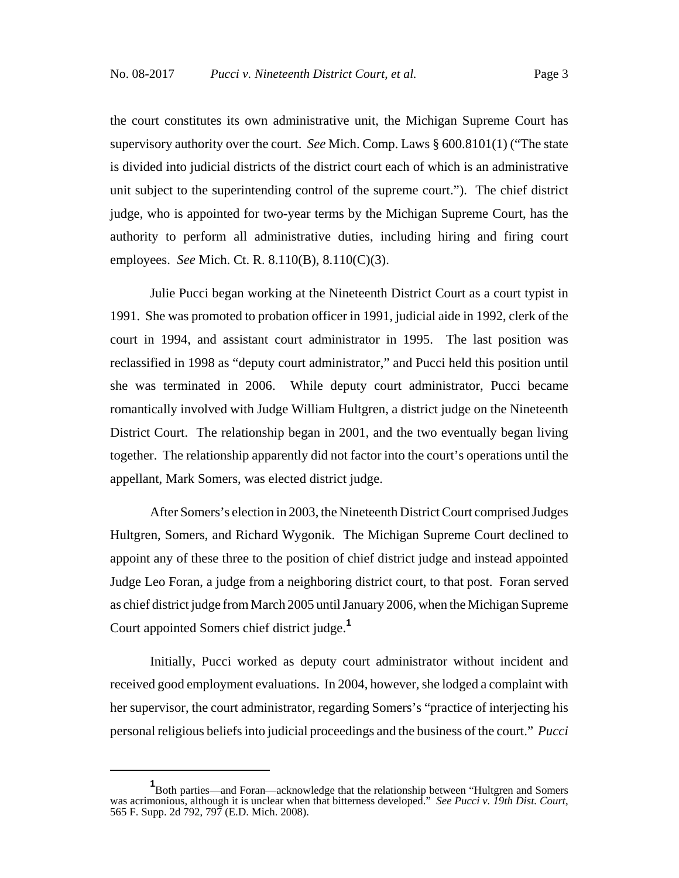the court constitutes its own administrative unit, the Michigan Supreme Court has supervisory authority over the court. *See* Mich. Comp. Laws § 600.8101(1) ("The state is divided into judicial districts of the district court each of which is an administrative unit subject to the superintending control of the supreme court."). The chief district judge, who is appointed for two-year terms by the Michigan Supreme Court, has the authority to perform all administrative duties, including hiring and firing court employees. *See* Mich. Ct. R. 8.110(B), 8.110(C)(3).

Julie Pucci began working at the Nineteenth District Court as a court typist in 1991. She was promoted to probation officer in 1991, judicial aide in 1992, clerk of the court in 1994, and assistant court administrator in 1995. The last position was reclassified in 1998 as "deputy court administrator," and Pucci held this position until she was terminated in 2006. While deputy court administrator, Pucci became romantically involved with Judge William Hultgren, a district judge on the Nineteenth District Court. The relationship began in 2001, and the two eventually began living together. The relationship apparently did not factor into the court's operations until the appellant, Mark Somers, was elected district judge.

After Somers's election in 2003, the Nineteenth District Court comprised Judges Hultgren, Somers, and Richard Wygonik. The Michigan Supreme Court declined to appoint any of these three to the position of chief district judge and instead appointed Judge Leo Foran, a judge from a neighboring district court, to that post. Foran served as chief district judge from March 2005 until January 2006, when the Michigan Supreme Court appointed Somers chief district judge.**<sup>1</sup>**

Initially, Pucci worked as deputy court administrator without incident and received good employment evaluations. In 2004, however, she lodged a complaint with her supervisor, the court administrator, regarding Somers's "practice of interjecting his personal religious beliefs into judicial proceedings and the business of the court." *Pucci*

**<sup>1</sup>** Both parties—and Foran—acknowledge that the relationship between "Hultgren and Somers was acrimonious, although it is unclear when that bitterness developed." *See Pucci v. 19th Dist. Court*, 565 F. Supp. 2d 792, 797 (E.D. Mich. 2008).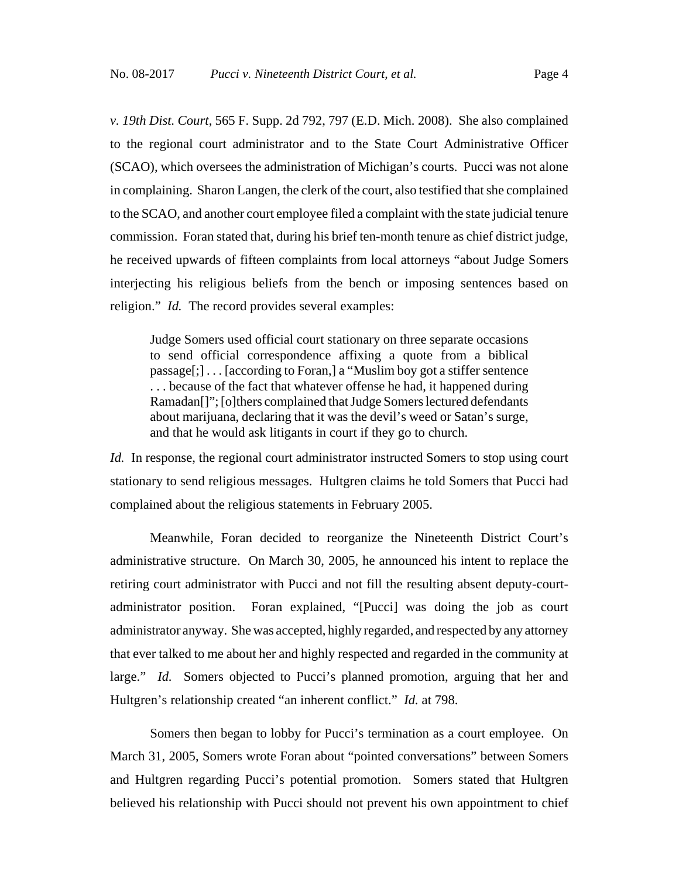*v. 19th Dist. Court*, 565 F. Supp. 2d 792, 797 (E.D. Mich. 2008). She also complained to the regional court administrator and to the State Court Administrative Officer (SCAO), which oversees the administration of Michigan's courts. Pucci was not alone in complaining. Sharon Langen, the clerk of the court, also testified that she complained to the SCAO, and another court employee filed a complaint with the state judicial tenure commission. Foran stated that, during his brief ten-month tenure as chief district judge, he received upwards of fifteen complaints from local attorneys "about Judge Somers interjecting his religious beliefs from the bench or imposing sentences based on

religion." *Id.* The record provides several examples:

Judge Somers used official court stationary on three separate occasions to send official correspondence affixing a quote from a biblical passage[;] . . . [according to Foran,] a "Muslim boy got a stiffer sentence . . . because of the fact that whatever offense he had, it happened during Ramadan[]"; [o]thers complained that Judge Somers lectured defendants about marijuana, declaring that it was the devil's weed or Satan's surge, and that he would ask litigants in court if they go to church.

*Id.* In response, the regional court administrator instructed Somers to stop using court stationary to send religious messages. Hultgren claims he told Somers that Pucci had complained about the religious statements in February 2005.

Meanwhile, Foran decided to reorganize the Nineteenth District Court's administrative structure. On March 30, 2005, he announced his intent to replace the retiring court administrator with Pucci and not fill the resulting absent deputy-courtadministrator position. Foran explained, "[Pucci] was doing the job as court administrator anyway. She was accepted, highly regarded, and respected by any attorney that ever talked to me about her and highly respected and regarded in the community at large." *Id.* Somers objected to Pucci's planned promotion, arguing that her and Hultgren's relationship created "an inherent conflict." *Id.* at 798.

Somers then began to lobby for Pucci's termination as a court employee. On March 31, 2005, Somers wrote Foran about "pointed conversations" between Somers and Hultgren regarding Pucci's potential promotion. Somers stated that Hultgren believed his relationship with Pucci should not prevent his own appointment to chief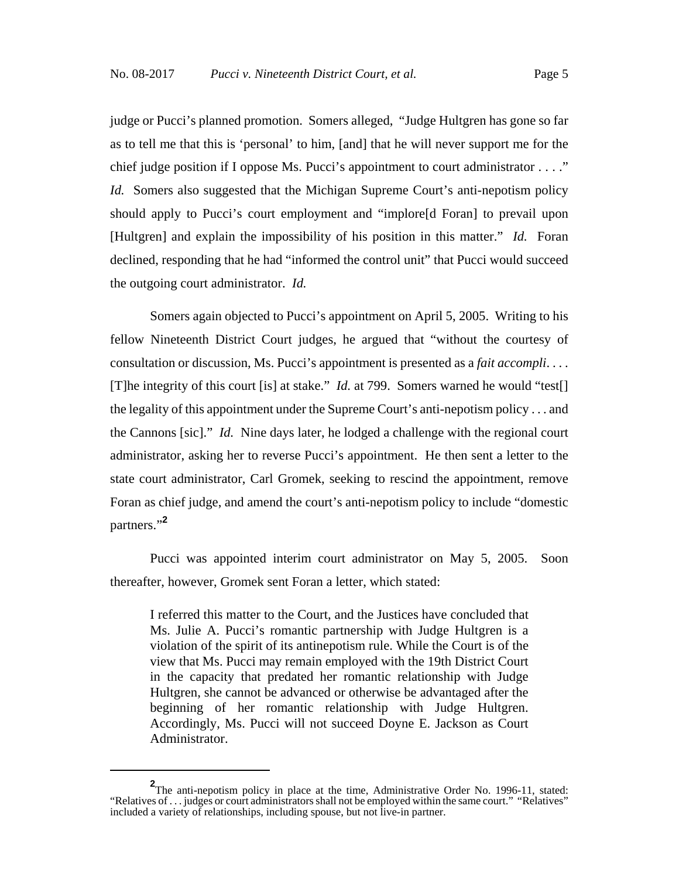judge or Pucci's planned promotion. Somers alleged, "Judge Hultgren has gone so far as to tell me that this is 'personal' to him, [and] that he will never support me for the chief judge position if I oppose Ms. Pucci's appointment to court administrator . . . ." *Id.* Somers also suggested that the Michigan Supreme Court's anti-nepotism policy should apply to Pucci's court employment and "implore[d Foran] to prevail upon [Hultgren] and explain the impossibility of his position in this matter." *Id.* Foran declined, responding that he had "informed the control unit" that Pucci would succeed the outgoing court administrator. *Id.*

Somers again objected to Pucci's appointment on April 5, 2005. Writing to his fellow Nineteenth District Court judges, he argued that "without the courtesy of consultation or discussion, Ms. Pucci's appointment is presented as a *fait accompli*. . . . [T]he integrity of this court [is] at stake." *Id.* at 799. Somers warned he would "test[] the legality of this appointment under the Supreme Court's anti-nepotism policy . . . and the Cannons [sic]." *Id.* Nine days later, he lodged a challenge with the regional court administrator, asking her to reverse Pucci's appointment. He then sent a letter to the state court administrator, Carl Gromek, seeking to rescind the appointment, remove Foran as chief judge, and amend the court's anti-nepotism policy to include "domestic partners."**<sup>2</sup>**

Pucci was appointed interim court administrator on May 5, 2005. Soon thereafter, however, Gromek sent Foran a letter, which stated:

I referred this matter to the Court, and the Justices have concluded that Ms. Julie A. Pucci's romantic partnership with Judge Hultgren is a violation of the spirit of its antinepotism rule. While the Court is of the view that Ms. Pucci may remain employed with the 19th District Court in the capacity that predated her romantic relationship with Judge Hultgren, she cannot be advanced or otherwise be advantaged after the beginning of her romantic relationship with Judge Hultgren. Accordingly, Ms. Pucci will not succeed Doyne E. Jackson as Court Administrator.

**<sup>2</sup>** The anti-nepotism policy in place at the time, Administrative Order No. 1996-11, stated: "Relatives of . . . judges or court administrators shall not be employed within the same court." "Relatives" included a variety of relationships, including spouse, but not live-in partner.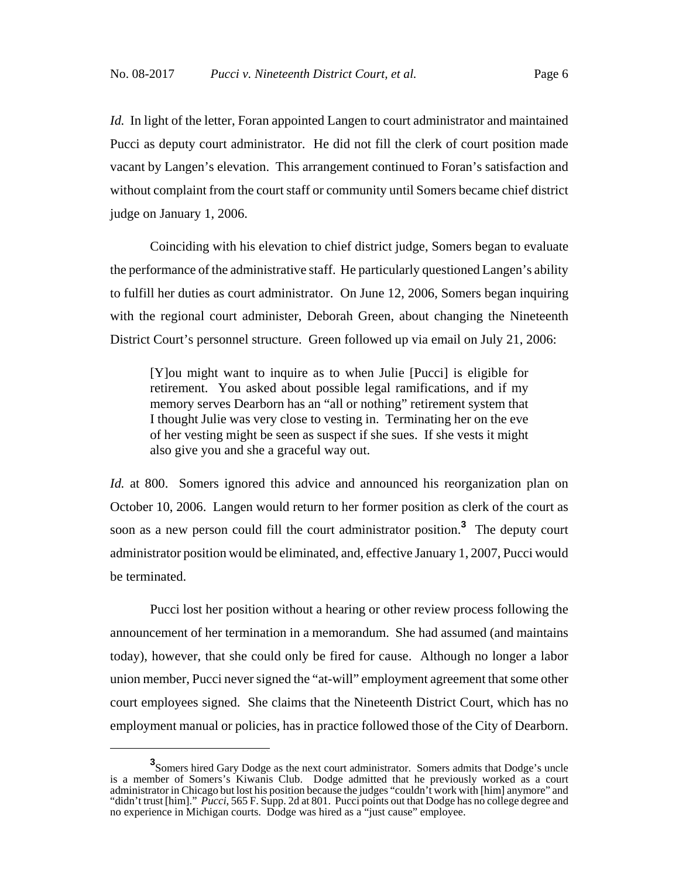*Id.* In light of the letter, Foran appointed Langen to court administrator and maintained Pucci as deputy court administrator. He did not fill the clerk of court position made vacant by Langen's elevation. This arrangement continued to Foran's satisfaction and without complaint from the court staff or community until Somers became chief district judge on January 1, 2006.

Coinciding with his elevation to chief district judge, Somers began to evaluate the performance of the administrative staff. He particularly questioned Langen's ability to fulfill her duties as court administrator. On June 12, 2006, Somers began inquiring with the regional court administer, Deborah Green, about changing the Nineteenth District Court's personnel structure. Green followed up via email on July 21, 2006:

[Y]ou might want to inquire as to when Julie [Pucci] is eligible for retirement. You asked about possible legal ramifications, and if my memory serves Dearborn has an "all or nothing" retirement system that I thought Julie was very close to vesting in. Terminating her on the eve of her vesting might be seen as suspect if she sues. If she vests it might also give you and she a graceful way out.

*Id.* at 800. Somers ignored this advice and announced his reorganization plan on October 10, 2006. Langen would return to her former position as clerk of the court as soon as a new person could fill the court administrator position.**<sup>3</sup>** The deputy court administrator position would be eliminated, and, effective January 1, 2007, Pucci would be terminated.

Pucci lost her position without a hearing or other review process following the announcement of her termination in a memorandum. She had assumed (and maintains today), however, that she could only be fired for cause. Although no longer a labor union member, Pucci never signed the "at-will" employment agreement that some other court employees signed. She claims that the Nineteenth District Court, which has no employment manual or policies, has in practice followed those of the City of Dearborn.

**<sup>3</sup>** Somers hired Gary Dodge as the next court administrator. Somers admits that Dodge's uncle is a member of Somers's Kiwanis Club. Dodge admitted that he previously worked as a court administrator in Chicago but lost his position because the judges "couldn't work with [him] anymore" and "didn't trust [him]." *Pucci*, 565 F. Supp. 2d at 801. Pucci points out that Dodge has no college degree and no experience in Michigan courts. Dodge was hired as a "just cause" employee.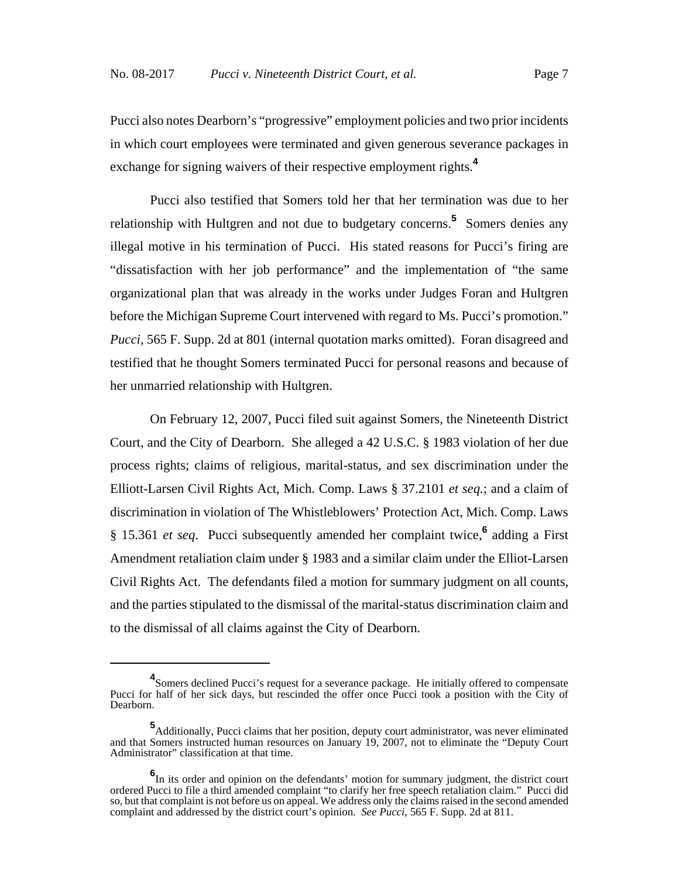Pucci also notes Dearborn's "progressive" employment policies and two prior incidents in which court employees were terminated and given generous severance packages in exchange for signing waivers of their respective employment rights.**<sup>4</sup>**

Pucci also testified that Somers told her that her termination was due to her relationship with Hultgren and not due to budgetary concerns.<sup>5</sup> Somers denies any illegal motive in his termination of Pucci. His stated reasons for Pucci's firing are "dissatisfaction with her job performance" and the implementation of "the same organizational plan that was already in the works under Judges Foran and Hultgren before the Michigan Supreme Court intervened with regard to Ms. Pucci's promotion." *Pucci*, 565 F. Supp. 2d at 801 (internal quotation marks omitted). Foran disagreed and testified that he thought Somers terminated Pucci for personal reasons and because of her unmarried relationship with Hultgren.

On February 12, 2007, Pucci filed suit against Somers, the Nineteenth District Court, and the City of Dearborn. She alleged a 42 U.S.C. § 1983 violation of her due process rights; claims of religious, marital-status, and sex discrimination under the Elliott-Larsen Civil Rights Act, Mich. Comp. Laws § 37.2101 *et seq.*; and a claim of discrimination in violation of The Whistleblowers' Protection Act, Mich. Comp. Laws § 15.361 *et seq*. Pucci subsequently amended her complaint twice,**<sup>6</sup>** adding a First Amendment retaliation claim under § 1983 and a similar claim under the Elliot-Larsen Civil Rights Act. The defendants filed a motion for summary judgment on all counts, and the parties stipulated to the dismissal of the marital-status discrimination claim and to the dismissal of all claims against the City of Dearborn.

**<sup>4</sup>** Somers declined Pucci's request for a severance package. He initially offered to compensate Pucci for half of her sick days, but rescinded the offer once Pucci took a position with the City of Dearborn.

**<sup>5</sup>** Additionally, Pucci claims that her position, deputy court administrator, was never eliminated and that Somers instructed human resources on January 19, 2007, not to eliminate the "Deputy Court Administrator" classification at that time.

**<sup>6</sup>** In its order and opinion on the defendants' motion for summary judgment, the district court ordered Pucci to file a third amended complaint "to clarify her free speech retaliation claim." Pucci did so, but that complaint is not before us on appeal. We address only the claims raised in the second amended complaint and addressed by the district court's opinion. *See Pucci*, 565 F. Supp. 2d at 811.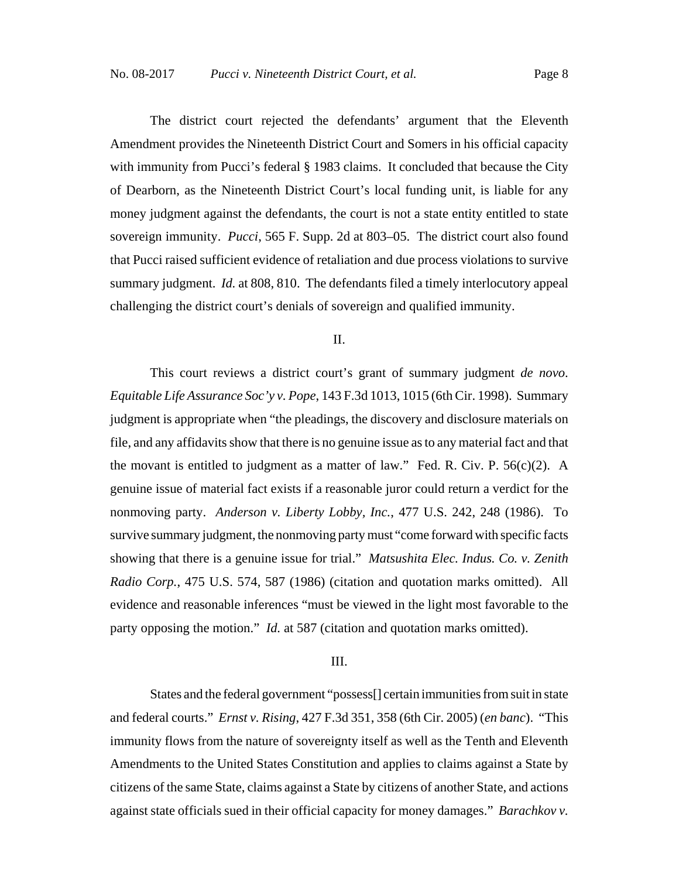The district court rejected the defendants' argument that the Eleventh Amendment provides the Nineteenth District Court and Somers in his official capacity with immunity from Pucci's federal § 1983 claims. It concluded that because the City of Dearborn, as the Nineteenth District Court's local funding unit, is liable for any money judgment against the defendants, the court is not a state entity entitled to state sovereign immunity. *Pucci*, 565 F. Supp. 2d at 803–05. The district court also found that Pucci raised sufficient evidence of retaliation and due process violations to survive summary judgment. *Id.* at 808, 810. The defendants filed a timely interlocutory appeal challenging the district court's denials of sovereign and qualified immunity.

#### II.

This court reviews a district court's grant of summary judgment *de novo*. *Equitable Life Assurance Soc'y v. Pope*, 143 F.3d 1013, 1015 (6th Cir. 1998). Summary judgment is appropriate when "the pleadings, the discovery and disclosure materials on file, and any affidavits show that there is no genuine issue as to any material fact and that the movant is entitled to judgment as a matter of law." Fed. R. Civ. P.  $56(c)(2)$ . A genuine issue of material fact exists if a reasonable juror could return a verdict for the nonmoving party. *Anderson v. Liberty Lobby, Inc.*, 477 U.S. 242, 248 (1986). To survive summary judgment, the nonmoving party must "come forward with specific facts showing that there is a genuine issue for trial." *Matsushita Elec. Indus. Co. v. Zenith Radio Corp.*, 475 U.S. 574, 587 (1986) (citation and quotation marks omitted). All evidence and reasonable inferences "must be viewed in the light most favorable to the party opposing the motion." *Id.* at 587 (citation and quotation marks omitted).

#### III.

States and the federal government "possess[] certain immunities from suit in state and federal courts." *Ernst v. Rising*, 427 F.3d 351, 358 (6th Cir. 2005) (*en banc*). "This immunity flows from the nature of sovereignty itself as well as the Tenth and Eleventh Amendments to the United States Constitution and applies to claims against a State by citizens of the same State, claims against a State by citizens of another State, and actions against state officials sued in their official capacity for money damages." *Barachkov v.*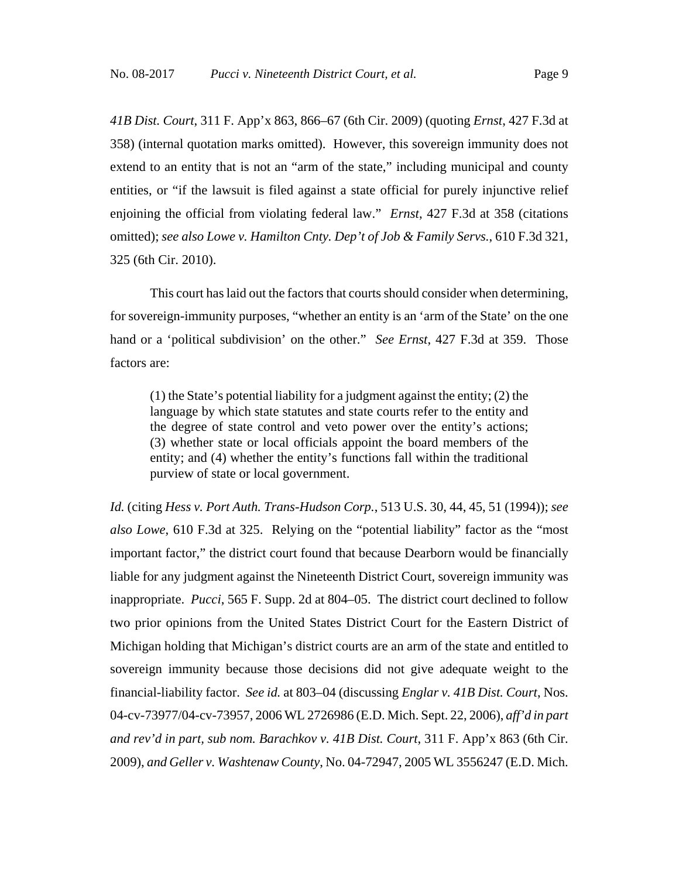*41B Dist. Court*, 311 F. App'x 863, 866–67 (6th Cir. 2009) (quoting *Ernst*, 427 F.3d at 358) (internal quotation marks omitted). However, this sovereign immunity does not extend to an entity that is not an "arm of the state," including municipal and county entities, or "if the lawsuit is filed against a state official for purely injunctive relief enjoining the official from violating federal law." *Ernst*, 427 F.3d at 358 (citations omitted); *see also Lowe v. Hamilton Cnty. Dep't of Job & Family Servs.*, 610 F.3d 321, 325 (6th Cir. 2010).

This court has laid out the factors that courts should consider when determining, for sovereign-immunity purposes, "whether an entity is an 'arm of the State' on the one hand or a 'political subdivision' on the other." *See Ernst*, 427 F.3d at 359. Those factors are:

(1) the State's potential liability for a judgment against the entity; (2) the language by which state statutes and state courts refer to the entity and the degree of state control and veto power over the entity's actions; (3) whether state or local officials appoint the board members of the entity; and (4) whether the entity's functions fall within the traditional purview of state or local government.

*Id.* (citing *Hess v. Port Auth. Trans-Hudson Corp.*, 513 U.S. 30, 44, 45, 51 (1994)); *see also Lowe*, 610 F.3d at 325. Relying on the "potential liability" factor as the "most important factor," the district court found that because Dearborn would be financially liable for any judgment against the Nineteenth District Court, sovereign immunity was inappropriate. *Pucci*, 565 F. Supp. 2d at 804–05. The district court declined to follow two prior opinions from the United States District Court for the Eastern District of Michigan holding that Michigan's district courts are an arm of the state and entitled to sovereign immunity because those decisions did not give adequate weight to the financial-liability factor. *See id.* at 803–04 (discussing *Englar v. 41B Dist. Court*, Nos. 04-cv-73977/04-cv-73957, 2006 WL 2726986 (E.D. Mich. Sept. 22, 2006), *aff'd in part and rev'd in part, sub nom. Barachkov v. 41B Dist. Court*, 311 F. App'x 863 (6th Cir. 2009), *and Geller v. Washtenaw County*, No. 04-72947, 2005 WL 3556247 (E.D. Mich.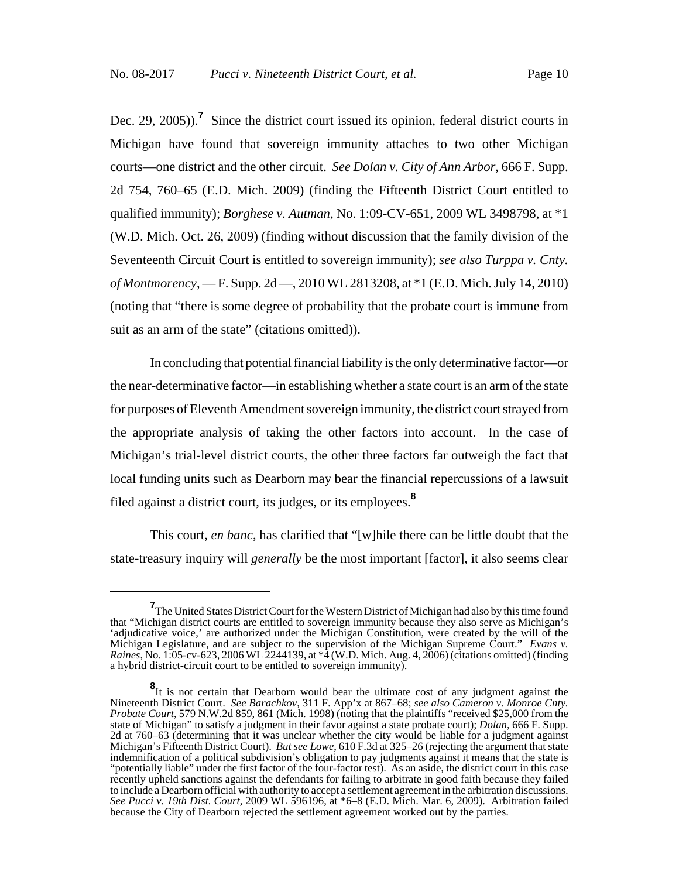Dec. 29, 2005)).<sup>7</sup> Since the district court issued its opinion, federal district courts in Michigan have found that sovereign immunity attaches to two other Michigan courts—one district and the other circuit. *See Dolan v. City of Ann Arbor*, 666 F. Supp. 2d 754, 760–65 (E.D. Mich. 2009) (finding the Fifteenth District Court entitled to qualified immunity); *Borghese v. Autman*, No. 1:09-CV-651, 2009 WL 3498798, at \*1 (W.D. Mich. Oct. 26, 2009) (finding without discussion that the family division of the Seventeenth Circuit Court is entitled to sovereign immunity); *see also Turppa v. Cnty. of Montmorency*, — F. Supp. 2d —, 2010 WL 2813208, at \*1 (E.D. Mich. July 14, 2010) (noting that "there is some degree of probability that the probate court is immune from suit as an arm of the state" (citations omitted)).

In concluding that potential financial liability is the only determinative factor—or the near-determinative factor—in establishing whether a state court is an arm of the state for purposes of Eleventh Amendment sovereign immunity, the district court strayed from the appropriate analysis of taking the other factors into account. In the case of Michigan's trial-level district courts, the other three factors far outweigh the fact that local funding units such as Dearborn may bear the financial repercussions of a lawsuit filed against a district court, its judges, or its employees.**<sup>8</sup>**

This court, *en banc*, has clarified that "[w]hile there can be little doubt that the state-treasury inquiry will *generally* be the most important [factor], it also seems clear

**<sup>7</sup>** The United States District Court for the Western District of Michigan had also by this time found that "Michigan district courts are entitled to sovereign immunity because they also serve as Michigan's 'adjudicative voice,' are authorized under the Michigan Constitution, were created by the will of the Michigan Legislature, and are subject to the supervision of the Michigan Supreme Court." *Evans v. Raines*, No. 1:05-cv-623, 2006 WL 2244139, at \*4 (W.D. Mich. Aug. 4, 2006) (citations omitted) (finding a hybrid district-circuit court to be entitled to sovereign immunity).

**<sup>8</sup>** It is not certain that Dearborn would bear the ultimate cost of any judgment against the Nineteenth District Court. *See Barachkov*, 311 F. App'x at 867–68; *see also Cameron v. Monroe Cnty. Probate Court*, 579 N.W.2d 859, 861 (Mich. 1998) (noting that the plaintiffs "received \$25,000 from the state of Michigan" to satisfy a judgment in their favor against a state probate court); *Dolan*, 666 F. Supp. 2d at 760–63 (determining that it was unclear whether the city would be liable for a judgment against Michigan's Fifteenth District Court). *But see Lowe*, 610 F.3d at 325–26 (rejecting the argument that state indemnification of a political subdivision's obligation to pay judgments against it means that the state is "potentially liable" under the first factor of the four-factor test). As an aside, the district court in this case recently upheld sanctions against the defendants for failing to arbitrate in good faith because they failed to include a Dearborn official with authority to accept a settlement agreement in the arbitration discussions. *See Pucci v. 19th Dist. Court*, 2009 WL 596196, at \*6–8 (E.D. Mich. Mar. 6, 2009). Arbitration failed because the City of Dearborn rejected the settlement agreement worked out by the parties.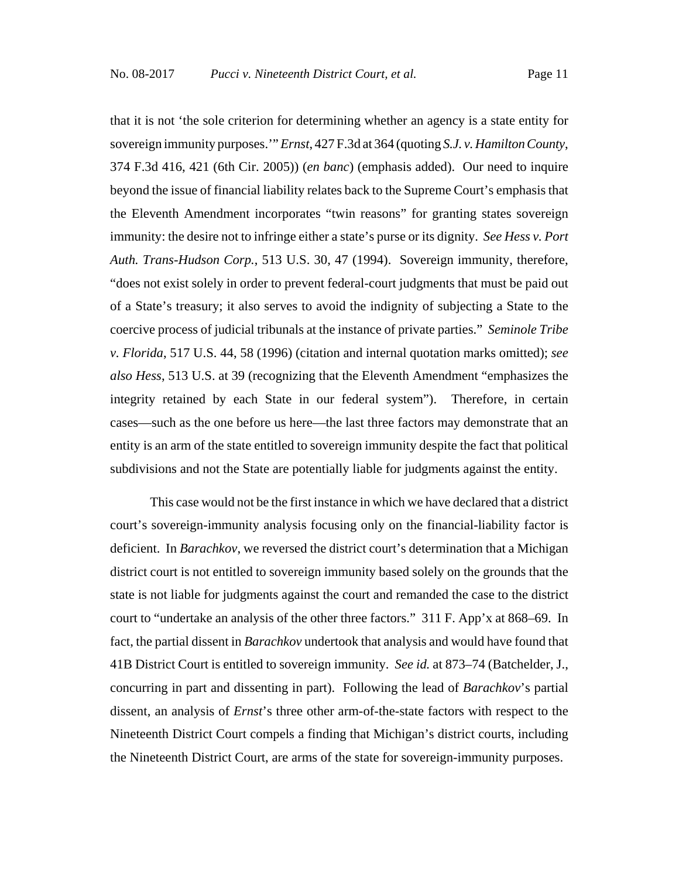that it is not 'the sole criterion for determining whether an agency is a state entity for sovereign immunity purposes.'" *Ernst*, 427 F.3d at 364 (quoting *S.J. v. Hamilton County*, 374 F.3d 416, 421 (6th Cir. 2005)) (*en banc*) (emphasis added). Our need to inquire beyond the issue of financial liability relates back to the Supreme Court's emphasis that the Eleventh Amendment incorporates "twin reasons" for granting states sovereign immunity: the desire not to infringe either a state's purse or its dignity. *See Hess v. Port Auth. Trans-Hudson Corp.*, 513 U.S. 30, 47 (1994). Sovereign immunity, therefore, "does not exist solely in order to prevent federal-court judgments that must be paid out of a State's treasury; it also serves to avoid the indignity of subjecting a State to the coercive process of judicial tribunals at the instance of private parties." *Seminole Tribe v. Florida*, 517 U.S. 44, 58 (1996) (citation and internal quotation marks omitted); *see also Hess*, 513 U.S. at 39 (recognizing that the Eleventh Amendment "emphasizes the integrity retained by each State in our federal system"). Therefore, in certain cases—such as the one before us here—the last three factors may demonstrate that an entity is an arm of the state entitled to sovereign immunity despite the fact that political subdivisions and not the State are potentially liable for judgments against the entity.

This case would not be the first instance in which we have declared that a district court's sovereign-immunity analysis focusing only on the financial-liability factor is deficient. In *Barachkov*, we reversed the district court's determination that a Michigan district court is not entitled to sovereign immunity based solely on the grounds that the state is not liable for judgments against the court and remanded the case to the district court to "undertake an analysis of the other three factors." 311 F. App'x at 868–69. In fact, the partial dissent in *Barachkov* undertook that analysis and would have found that 41B District Court is entitled to sovereign immunity. *See id.* at 873–74 (Batchelder, J., concurring in part and dissenting in part). Following the lead of *Barachkov*'s partial dissent, an analysis of *Ernst*'s three other arm-of-the-state factors with respect to the Nineteenth District Court compels a finding that Michigan's district courts, including the Nineteenth District Court, are arms of the state for sovereign-immunity purposes.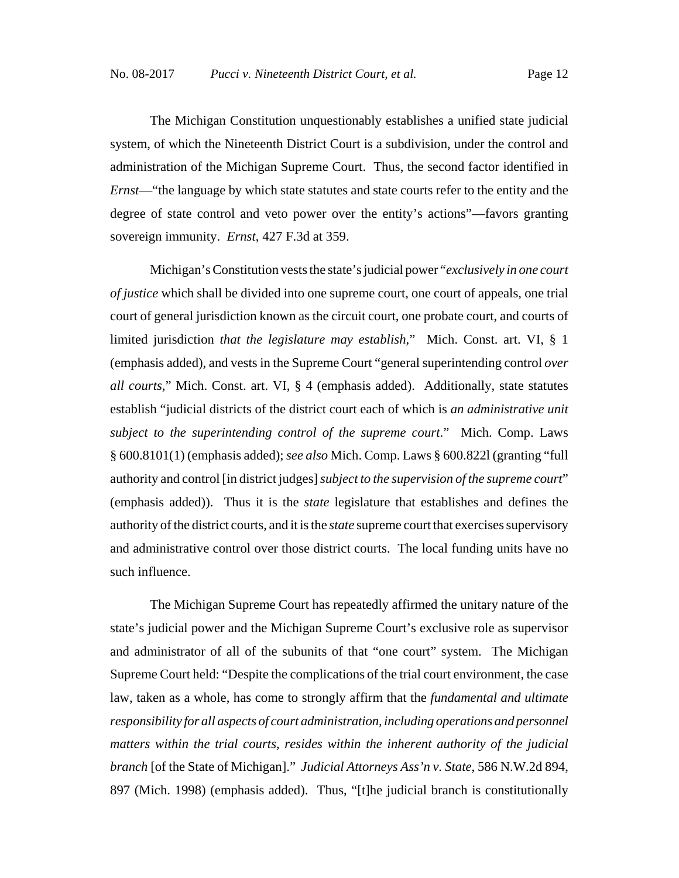The Michigan Constitution unquestionably establishes a unified state judicial system, of which the Nineteenth District Court is a subdivision, under the control and administration of the Michigan Supreme Court. Thus, the second factor identified in *Ernst*—"the language by which state statutes and state courts refer to the entity and the degree of state control and veto power over the entity's actions"—favors granting sovereign immunity. *Ernst*, 427 F.3d at 359.

Michigan's Constitution vests the state's judicial power "*exclusively in one court of justice* which shall be divided into one supreme court, one court of appeals, one trial court of general jurisdiction known as the circuit court, one probate court, and courts of limited jurisdiction *that the legislature may establish*," Mich. Const. art. VI, § 1 (emphasis added), and vests in the Supreme Court "general superintending control *over all courts*," Mich. Const. art. VI, § 4 (emphasis added). Additionally, state statutes establish "judicial districts of the district court each of which is *an administrative unit subject to the superintending control of the supreme court*." Mich. Comp. Laws § 600.8101(1) (emphasis added); *see also* Mich. Comp. Laws § 600.822l (granting "full authority and control [in district judges] *subject to the supervision of the supreme court*" (emphasis added)). Thus it is the *state* legislature that establishes and defines the authority of the district courts, and it is the *state* supreme court that exercises supervisory and administrative control over those district courts. The local funding units have no such influence.

The Michigan Supreme Court has repeatedly affirmed the unitary nature of the state's judicial power and the Michigan Supreme Court's exclusive role as supervisor and administrator of all of the subunits of that "one court" system. The Michigan Supreme Court held: "Despite the complications of the trial court environment, the case law, taken as a whole, has come to strongly affirm that the *fundamental and ultimate responsibility for all aspects of court administration, including operations and personnel matters within the trial courts, resides within the inherent authority of the judicial branch* [of the State of Michigan]." *Judicial Attorneys Ass'n v. State*, 586 N.W.2d 894, 897 (Mich. 1998) (emphasis added). Thus, "[t]he judicial branch is constitutionally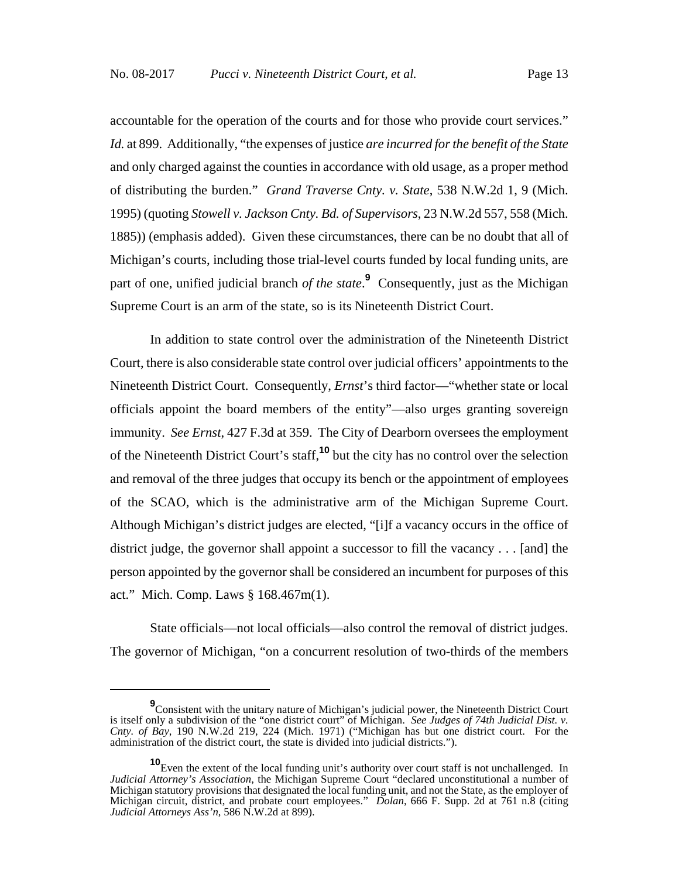accountable for the operation of the courts and for those who provide court services." *Id.* at 899. Additionally, "the expenses of justice *are incurred for the benefit of the State* and only charged against the counties in accordance with old usage, as a proper method of distributing the burden." *Grand Traverse Cnty. v. State*, 538 N.W.2d 1, 9 (Mich. 1995) (quoting *Stowell v. Jackson Cnty. Bd. of Supervisors*, 23 N.W.2d 557, 558 (Mich. 1885)) (emphasis added). Given these circumstances, there can be no doubt that all of Michigan's courts, including those trial-level courts funded by local funding units, are part of one, unified judicial branch of the state.<sup>9</sup> Consequently, just as the Michigan Supreme Court is an arm of the state, so is its Nineteenth District Court.

In addition to state control over the administration of the Nineteenth District Court, there is also considerable state control over judicial officers' appointments to the Nineteenth District Court. Consequently, *Ernst*'s third factor—"whether state or local officials appoint the board members of the entity"—also urges granting sovereign immunity. *See Ernst*, 427 F.3d at 359. The City of Dearborn oversees the employment of the Nineteenth District Court's staff,**<sup>10</sup>** but the city has no control over the selection and removal of the three judges that occupy its bench or the appointment of employees of the SCAO, which is the administrative arm of the Michigan Supreme Court. Although Michigan's district judges are elected, "[i]f a vacancy occurs in the office of district judge, the governor shall appoint a successor to fill the vacancy . . . [and] the person appointed by the governor shall be considered an incumbent for purposes of this act." Mich. Comp. Laws § 168.467m(1).

State officials—not local officials—also control the removal of district judges. The governor of Michigan, "on a concurrent resolution of two-thirds of the members

<sup>&</sup>lt;sup>9</sup> Consistent with the unitary nature of Michigan's judicial power, the Nineteenth District Court is itself only a subdivision of the "one district court" of Michigan. *See Judges of 74th Judicial Dist. v. Cnty. of Bay*, 190 N.W.2d 219, 224 (Mich. 1971) ("Michigan has but one district court. For the administration of the district court, the state is divided into judicial districts.").

**<sup>10</sup>**Even the extent of the local funding unit's authority over court staff is not unchallenged. In *Judicial Attorney's Association*, the Michigan Supreme Court "declared unconstitutional a number of Michigan statutory provisions that designated the local funding unit, and not the State, as the employer of Michigan circuit, district, and probate court employees." *Dolan*, 666 F. Supp. 2d at 761 n.8 (citing *Judicial Attorneys Ass'n*, 586 N.W.2d at 899).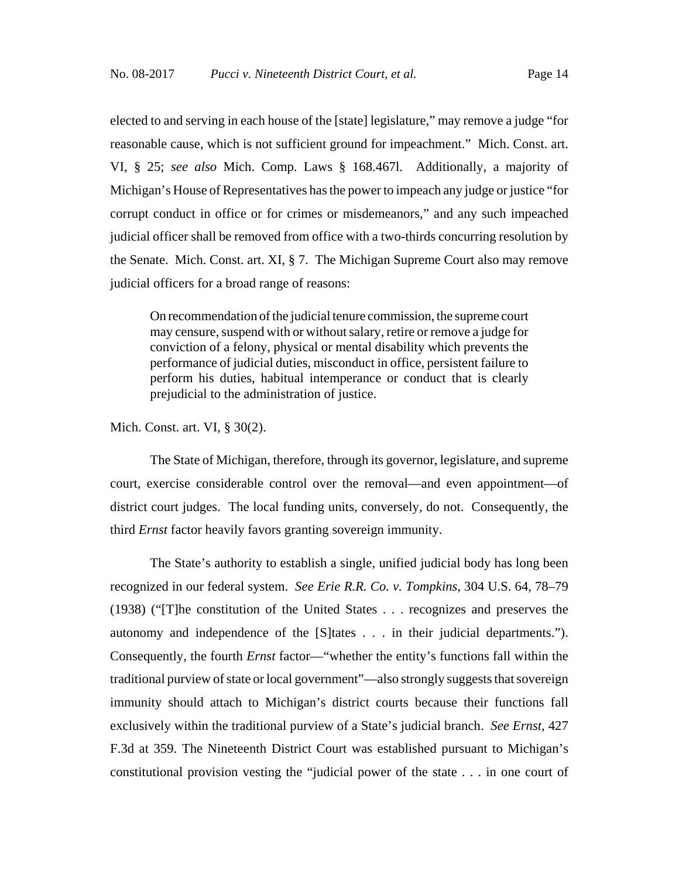elected to and serving in each house of the [state] legislature," may remove a judge "for reasonable cause, which is not sufficient ground for impeachment." Mich. Const. art. VI, § 25; *see also* Mich. Comp. Laws § 168.467l. Additionally, a majority of Michigan's House of Representatives has the power to impeach any judge or justice "for corrupt conduct in office or for crimes or misdemeanors," and any such impeached judicial officer shall be removed from office with a two-thirds concurring resolution by the Senate. Mich. Const. art. XI, § 7. The Michigan Supreme Court also may remove judicial officers for a broad range of reasons:

On recommendation of the judicial tenure commission, the supreme court may censure, suspend with or without salary, retire or remove a judge for conviction of a felony, physical or mental disability which prevents the performance of judicial duties, misconduct in office, persistent failure to perform his duties, habitual intemperance or conduct that is clearly prejudicial to the administration of justice.

Mich. Const. art. VI, § 30(2).

The State of Michigan, therefore, through its governor, legislature, and supreme court, exercise considerable control over the removal—and even appointment—of district court judges. The local funding units, conversely, do not. Consequently, the third *Ernst* factor heavily favors granting sovereign immunity.

The State's authority to establish a single, unified judicial body has long been recognized in our federal system. *See Erie R.R. Co. v. Tompkins*, 304 U.S. 64, 78–79 (1938) ("[T]he constitution of the United States . . . recognizes and preserves the autonomy and independence of the [S]tates . . . in their judicial departments."). Consequently, the fourth *Ernst* factor—"whether the entity's functions fall within the traditional purview of state or local government"—also strongly suggests that sovereign immunity should attach to Michigan's district courts because their functions fall exclusively within the traditional purview of a State's judicial branch. *See Ernst*, 427 F.3d at 359. The Nineteenth District Court was established pursuant to Michigan's constitutional provision vesting the "judicial power of the state . . . in one court of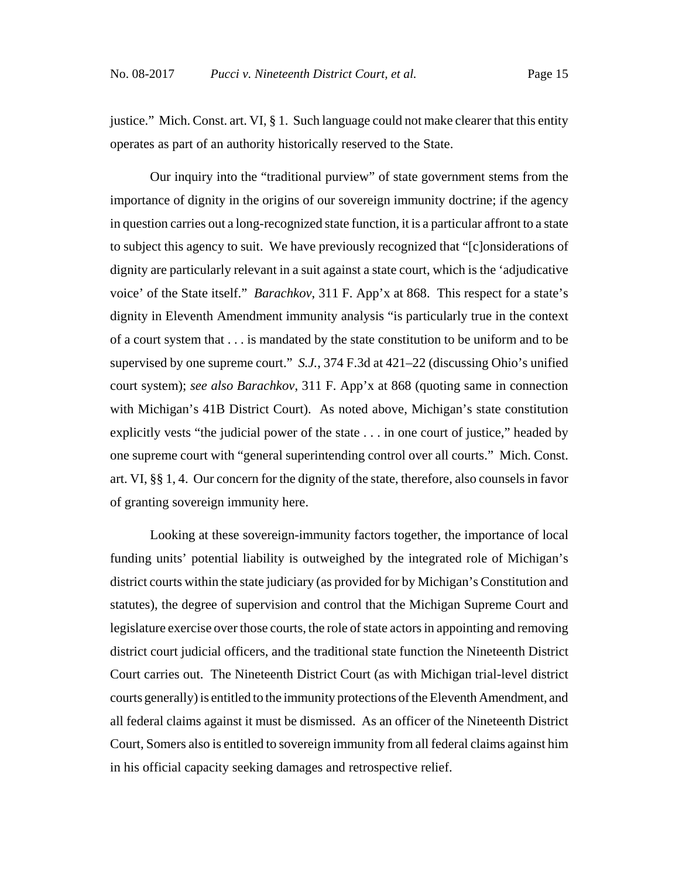justice." Mich. Const. art. VI, § 1. Such language could not make clearer that this entity operates as part of an authority historically reserved to the State.

Our inquiry into the "traditional purview" of state government stems from the importance of dignity in the origins of our sovereign immunity doctrine; if the agency in question carries out a long-recognized state function, it is a particular affront to a state to subject this agency to suit. We have previously recognized that "[c]onsiderations of dignity are particularly relevant in a suit against a state court, which is the 'adjudicative voice' of the State itself." *Barachkov*, 311 F. App'x at 868. This respect for a state's dignity in Eleventh Amendment immunity analysis "is particularly true in the context of a court system that . . . is mandated by the state constitution to be uniform and to be supervised by one supreme court." *S.J.*, 374 F.3d at 421–22 (discussing Ohio's unified court system); *see also Barachkov*, 311 F. App'x at 868 (quoting same in connection with Michigan's 41B District Court). As noted above, Michigan's state constitution explicitly vests "the judicial power of the state . . . in one court of justice," headed by one supreme court with "general superintending control over all courts." Mich. Const. art. VI, §§ 1, 4. Our concern for the dignity of the state, therefore, also counsels in favor of granting sovereign immunity here.

Looking at these sovereign-immunity factors together, the importance of local funding units' potential liability is outweighed by the integrated role of Michigan's district courts within the state judiciary (as provided for by Michigan's Constitution and statutes), the degree of supervision and control that the Michigan Supreme Court and legislature exercise over those courts, the role of state actors in appointing and removing district court judicial officers, and the traditional state function the Nineteenth District Court carries out. The Nineteenth District Court (as with Michigan trial-level district courts generally) is entitled to the immunity protections of the Eleventh Amendment, and all federal claims against it must be dismissed. As an officer of the Nineteenth District Court, Somers also is entitled to sovereign immunity from all federal claims against him in his official capacity seeking damages and retrospective relief.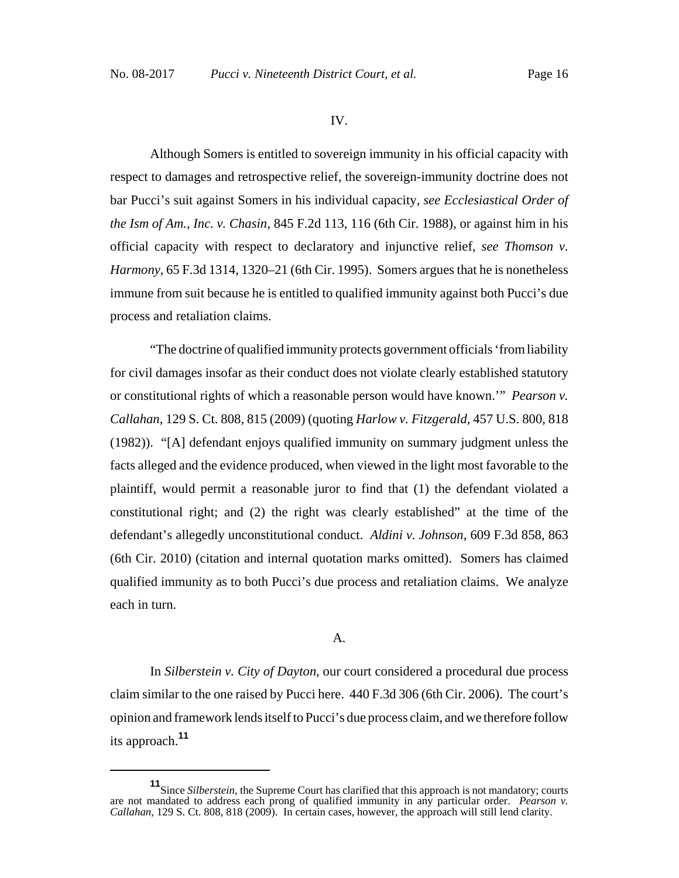#### IV.

Although Somers is entitled to sovereign immunity in his official capacity with respect to damages and retrospective relief, the sovereign-immunity doctrine does not bar Pucci's suit against Somers in his individual capacity, *see Ecclesiastical Order of the Ism of Am., Inc. v. Chasin*, 845 F.2d 113, 116 (6th Cir. 1988), or against him in his official capacity with respect to declaratory and injunctive relief, *see Thomson v. Harmony*, 65 F.3d 1314, 1320–21 (6th Cir. 1995). Somers argues that he is nonetheless immune from suit because he is entitled to qualified immunity against both Pucci's due process and retaliation claims.

"The doctrine of qualified immunity protects government officials 'from liability for civil damages insofar as their conduct does not violate clearly established statutory or constitutional rights of which a reasonable person would have known.'" *Pearson v. Callahan*, 129 S. Ct. 808, 815 (2009) (quoting *Harlow v. Fitzgerald*, 457 U.S. 800, 818 (1982)). "[A] defendant enjoys qualified immunity on summary judgment unless the facts alleged and the evidence produced, when viewed in the light most favorable to the plaintiff, would permit a reasonable juror to find that (1) the defendant violated a constitutional right; and (2) the right was clearly established" at the time of the defendant's allegedly unconstitutional conduct. *Aldini v. Johnson*, 609 F.3d 858, 863 (6th Cir. 2010) (citation and internal quotation marks omitted). Somers has claimed qualified immunity as to both Pucci's due process and retaliation claims. We analyze each in turn.

#### A.

In *Silberstein v. City of Dayton*, our court considered a procedural due process claim similar to the one raised by Pucci here. 440 F.3d 306 (6th Cir. 2006). The court's opinion and framework lends itself to Pucci's due process claim, and we therefore follow its approach.**<sup>11</sup>**

**<sup>11</sup>**Since *Silberstein*, the Supreme Court has clarified that this approach is not mandatory; courts are not mandated to address each prong of qualified immunity in any particular order. *Pearson v. Callahan*, 129 S. Ct. 808, 818 (2009). In certain cases, however, the approach will still lend clarity.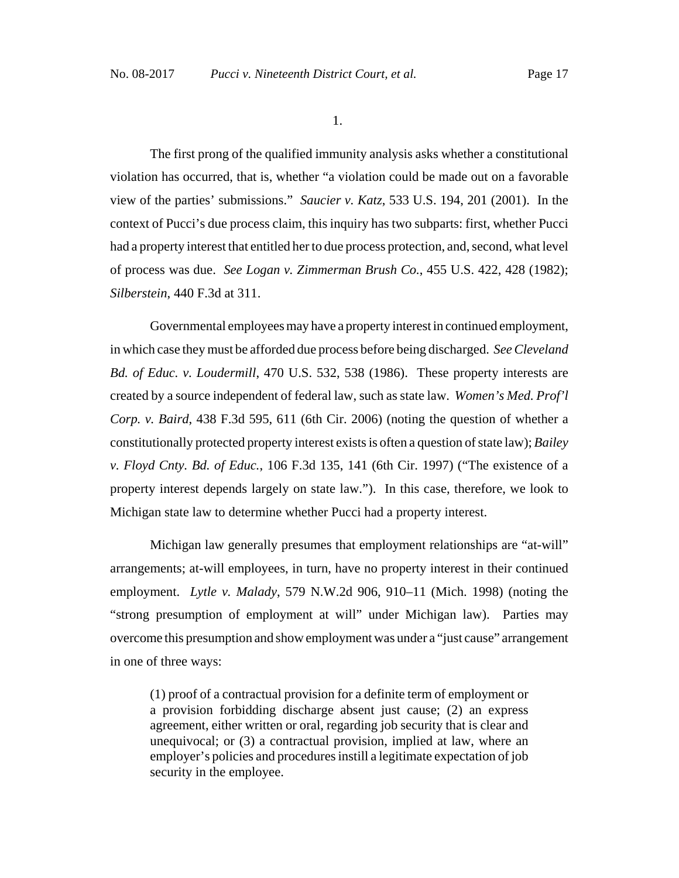1.

The first prong of the qualified immunity analysis asks whether a constitutional violation has occurred, that is, whether "a violation could be made out on a favorable view of the parties' submissions." *Saucier v. Katz*, 533 U.S. 194, 201 (2001). In the context of Pucci's due process claim, this inquiry has two subparts: first, whether Pucci had a property interest that entitled her to due process protection, and, second, what level of process was due. *See Logan v. Zimmerman Brush Co.*, 455 U.S. 422, 428 (1982); *Silberstein*, 440 F.3d at 311.

Governmental employees may have a property interest in continued employment, in which case they must be afforded due process before being discharged. *See Cleveland Bd. of Educ. v. Loudermill*, 470 U.S. 532, 538 (1986). These property interests are created by a source independent of federal law, such as state law. *Women's Med. Prof'l Corp. v. Baird*, 438 F.3d 595, 611 (6th Cir. 2006) (noting the question of whether a constitutionally protected property interest exists is often a question of state law); *Bailey v. Floyd Cnty. Bd. of Educ.*, 106 F.3d 135, 141 (6th Cir. 1997) ("The existence of a property interest depends largely on state law."). In this case, therefore, we look to Michigan state law to determine whether Pucci had a property interest.

Michigan law generally presumes that employment relationships are "at-will" arrangements; at-will employees, in turn, have no property interest in their continued employment. *Lytle v. Malady*, 579 N.W.2d 906, 910–11 (Mich. 1998) (noting the "strong presumption of employment at will" under Michigan law). Parties may overcome this presumption and show employment was under a "just cause" arrangement in one of three ways:

(1) proof of a contractual provision for a definite term of employment or a provision forbidding discharge absent just cause; (2) an express agreement, either written or oral, regarding job security that is clear and unequivocal; or (3) a contractual provision, implied at law, where an employer's policies and procedures instill a legitimate expectation of job security in the employee.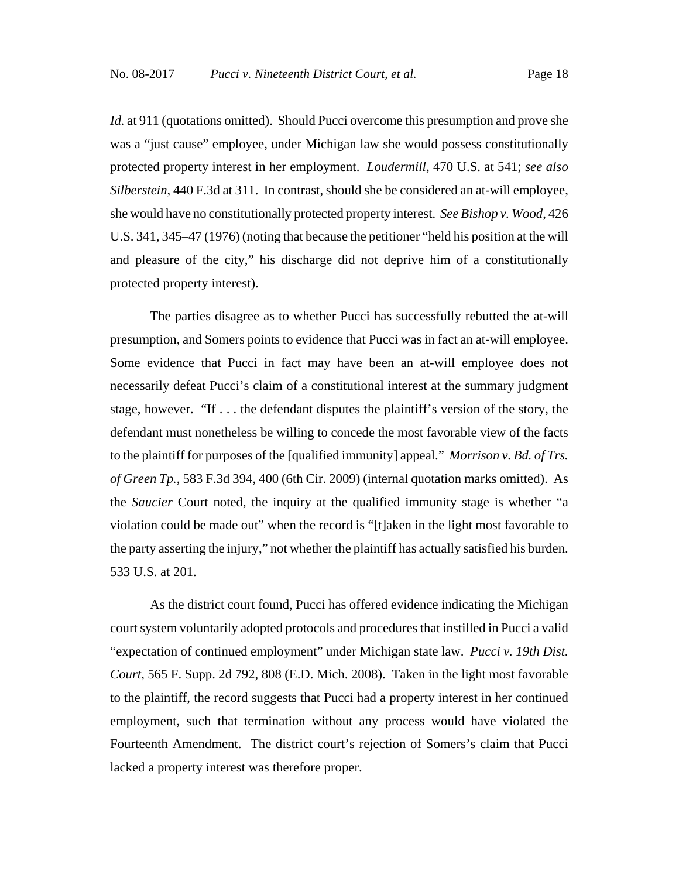*Id.* at 911 (quotations omitted). Should Pucci overcome this presumption and prove she was a "just cause" employee, under Michigan law she would possess constitutionally protected property interest in her employment. *Loudermill*, 470 U.S. at 541; *see also Silberstein*, 440 F.3d at 311. In contrast, should she be considered an at-will employee, she would have no constitutionally protected property interest. *See Bishop v. Wood*, 426 U.S. 341, 345–47 (1976) (noting that because the petitioner "held his position at the will and pleasure of the city," his discharge did not deprive him of a constitutionally protected property interest).

The parties disagree as to whether Pucci has successfully rebutted the at-will presumption, and Somers points to evidence that Pucci was in fact an at-will employee. Some evidence that Pucci in fact may have been an at-will employee does not necessarily defeat Pucci's claim of a constitutional interest at the summary judgment stage, however. "If . . . the defendant disputes the plaintiff's version of the story, the defendant must nonetheless be willing to concede the most favorable view of the facts to the plaintiff for purposes of the [qualified immunity] appeal." *Morrison v. Bd. of Trs. of Green Tp.*, 583 F.3d 394, 400 (6th Cir. 2009) (internal quotation marks omitted). As the *Saucier* Court noted, the inquiry at the qualified immunity stage is whether "a violation could be made out" when the record is "[t]aken in the light most favorable to the party asserting the injury," not whether the plaintiff has actually satisfied his burden. 533 U.S. at 201.

As the district court found, Pucci has offered evidence indicating the Michigan court system voluntarily adopted protocols and procedures that instilled in Pucci a valid "expectation of continued employment" under Michigan state law. *Pucci v. 19th Dist. Court*, 565 F. Supp. 2d 792, 808 (E.D. Mich. 2008). Taken in the light most favorable to the plaintiff, the record suggests that Pucci had a property interest in her continued employment, such that termination without any process would have violated the Fourteenth Amendment. The district court's rejection of Somers's claim that Pucci lacked a property interest was therefore proper.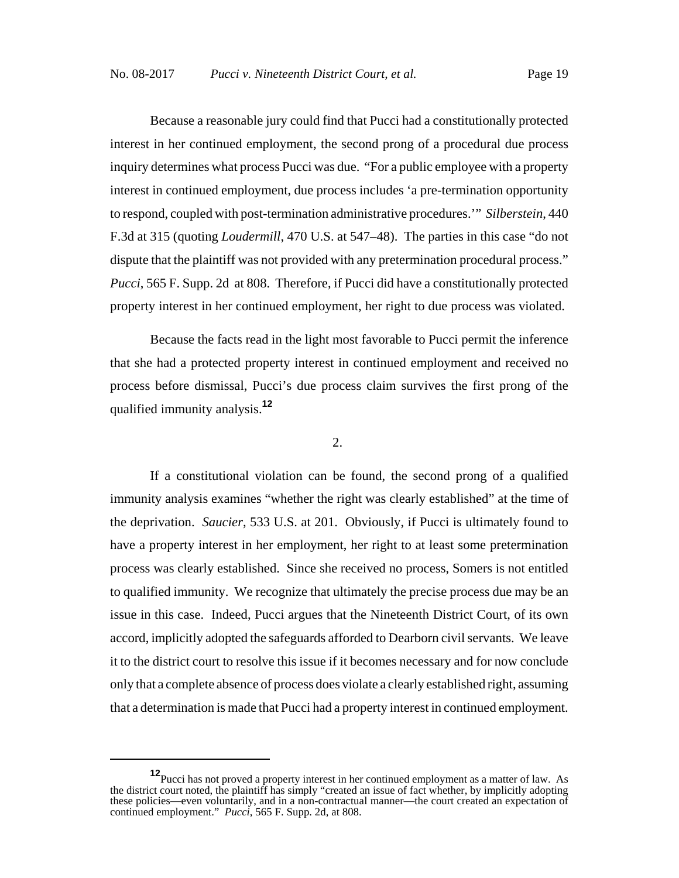Because a reasonable jury could find that Pucci had a constitutionally protected interest in her continued employment, the second prong of a procedural due process inquiry determines what process Pucci was due. "For a public employee with a property interest in continued employment, due process includes 'a pre-termination opportunity to respond, coupled with post-termination administrative procedures.'" *Silberstein*, 440 F.3d at 315 (quoting *Loudermill*, 470 U.S. at 547–48). The parties in this case "do not dispute that the plaintiff was not provided with any pretermination procedural process." *Pucci*, 565 F. Supp. 2d at 808. Therefore, if Pucci did have a constitutionally protected property interest in her continued employment, her right to due process was violated.

Because the facts read in the light most favorable to Pucci permit the inference that she had a protected property interest in continued employment and received no process before dismissal, Pucci's due process claim survives the first prong of the qualified immunity analysis.**<sup>12</sup>**

# 2.

If a constitutional violation can be found, the second prong of a qualified immunity analysis examines "whether the right was clearly established" at the time of the deprivation. *Saucier*, 533 U.S. at 201. Obviously, if Pucci is ultimately found to have a property interest in her employment, her right to at least some pretermination process was clearly established. Since she received no process, Somers is not entitled to qualified immunity. We recognize that ultimately the precise process due may be an issue in this case. Indeed, Pucci argues that the Nineteenth District Court, of its own accord, implicitly adopted the safeguards afforded to Dearborn civil servants. We leave it to the district court to resolve this issue if it becomes necessary and for now conclude only that a complete absence of process does violate a clearly established right, assuming that a determination is made that Pucci had a property interest in continued employment.

**<sup>12</sup>**Pucci has not proved a property interest in her continued employment as a matter of law. As the district court noted, the plaintiff has simply "created an issue of fact whether, by implicitly adopting these policies—even voluntarily, and in a non-contractual manner—the court created an expectation of continued employment." *Pucci*, 565 F. Supp. 2d, at 808.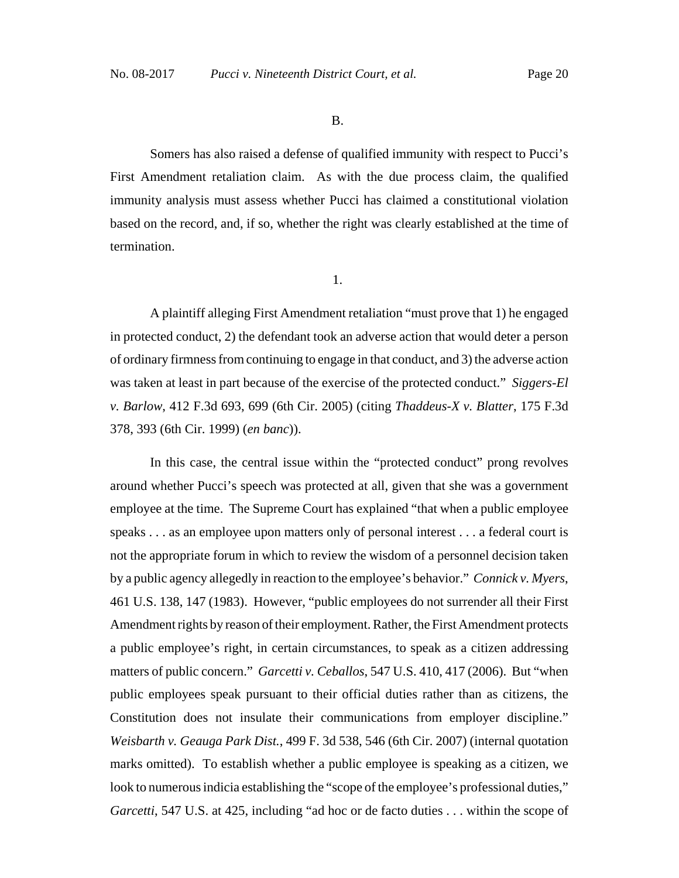B.

Somers has also raised a defense of qualified immunity with respect to Pucci's First Amendment retaliation claim. As with the due process claim, the qualified immunity analysis must assess whether Pucci has claimed a constitutional violation based on the record, and, if so, whether the right was clearly established at the time of termination.

| $\sim$ |  |
|--------|--|

A plaintiff alleging First Amendment retaliation "must prove that 1) he engaged in protected conduct, 2) the defendant took an adverse action that would deter a person of ordinary firmness from continuing to engage in that conduct, and 3) the adverse action was taken at least in part because of the exercise of the protected conduct." *Siggers-El v. Barlow*, 412 F.3d 693, 699 (6th Cir. 2005) (citing *Thaddeus-X v. Blatter*, 175 F.3d 378, 393 (6th Cir. 1999) (*en banc*)).

In this case, the central issue within the "protected conduct" prong revolves around whether Pucci's speech was protected at all, given that she was a government employee at the time. The Supreme Court has explained "that when a public employee speaks . . . as an employee upon matters only of personal interest . . . a federal court is not the appropriate forum in which to review the wisdom of a personnel decision taken by a public agency allegedly in reaction to the employee's behavior." *Connick v. Myers*, 461 U.S. 138, 147 (1983). However, "public employees do not surrender all their First Amendment rights by reason of their employment. Rather, the First Amendment protects a public employee's right, in certain circumstances, to speak as a citizen addressing matters of public concern." *Garcetti v. Ceballos*, 547 U.S. 410, 417 (2006). But "when public employees speak pursuant to their official duties rather than as citizens, the Constitution does not insulate their communications from employer discipline." *Weisbarth v. Geauga Park Dist.*, 499 F. 3d 538, 546 (6th Cir. 2007) (internal quotation marks omitted). To establish whether a public employee is speaking as a citizen, we look to numerous indicia establishing the "scope of the employee's professional duties," *Garcetti*, 547 U.S. at 425, including "ad hoc or de facto duties . . . within the scope of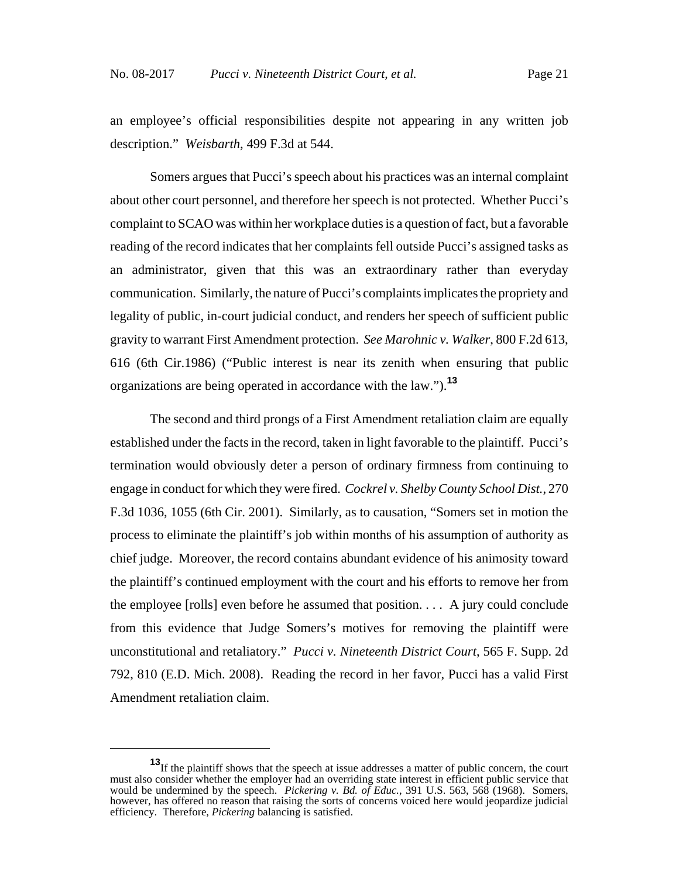an employee's official responsibilities despite not appearing in any written job description." *Weisbarth*, 499 F.3d at 544.

Somers argues that Pucci's speech about his practices was an internal complaint about other court personnel, and therefore her speech is not protected. Whether Pucci's complaint to SCAO was within her workplace duties is a question of fact, but a favorable reading of the record indicates that her complaints fell outside Pucci's assigned tasks as an administrator, given that this was an extraordinary rather than everyday communication. Similarly, the nature of Pucci's complaints implicates the propriety and legality of public, in-court judicial conduct, and renders her speech of sufficient public gravity to warrant First Amendment protection. *See Marohnic v. Walker*, 800 F.2d 613, 616 (6th Cir.1986) ("Public interest is near its zenith when ensuring that public organizations are being operated in accordance with the law.").**<sup>13</sup>**

The second and third prongs of a First Amendment retaliation claim are equally established under the facts in the record, taken in light favorable to the plaintiff. Pucci's termination would obviously deter a person of ordinary firmness from continuing to engage in conduct for which they were fired. *Cockrel v. Shelby County School Dist.*, 270 F.3d 1036, 1055 (6th Cir. 2001). Similarly, as to causation, "Somers set in motion the process to eliminate the plaintiff's job within months of his assumption of authority as chief judge. Moreover, the record contains abundant evidence of his animosity toward the plaintiff's continued employment with the court and his efforts to remove her from the employee [rolls] even before he assumed that position.  $\ldots$  A jury could conclude from this evidence that Judge Somers's motives for removing the plaintiff were unconstitutional and retaliatory." *Pucci v. Nineteenth District Court*, 565 F. Supp. 2d 792, 810 (E.D. Mich. 2008). Reading the record in her favor, Pucci has a valid First Amendment retaliation claim.

**<sup>13</sup>**If the plaintiff shows that the speech at issue addresses a matter of public concern, the court must also consider whether the employer had an overriding state interest in efficient public service that would be undermined by the speech. *Pickering v. Bd. of Educ.*, 391 U.S. 563, 568 (1968). Somers, however, has offered no reason that raising the sorts of concerns voiced here would jeopardize judicial efficiency. Therefore, *Pickering* balancing is satisfied.